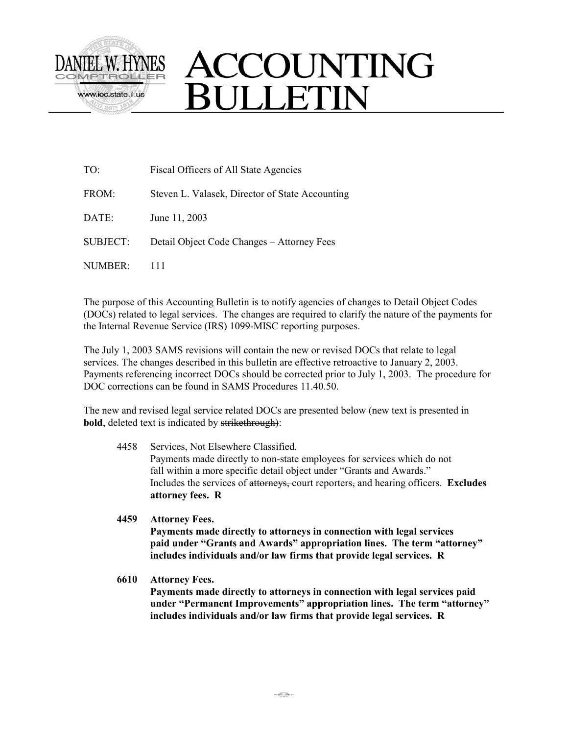

## TO: Fiscal Officers of All State Agencies FROM: Steven L. Valasek, Director of State Accounting DATE: June 11, 2003 SUBJECT: Detail Object Code Changes – Attorney Fees NUMBER: 111

The purpose of this Accounting Bulletin is to notify agencies of changes to Detail Object Codes (DOCs) related to legal services. The changes are required to clarify the nature of the payments for the Internal Revenue Service (IRS) 1099-MISC reporting purposes.

The July 1, 2003 SAMS revisions will contain the new or revised DOCs that relate to legal services. The changes described in this bulletin are effective retroactive to January 2, 2003. Payments referencing incorrect DOCs should be corrected prior to July 1, 2003. The procedure for DOC corrections can be found in SAMS Procedures 11.40.50.

The new and revised legal service related DOCs are presented below (new text is presented in **bold**, deleted text is indicated by strikethrough):

- 4458 Services, Not Elsewhere Classified. Payments made directly to non-state employees for services which do not fall within a more specific detail object under "Grants and Awards." Includes the services of attorneys, court reporters, and hearing officers. **Excludes attorney fees. R**
- **4459 Attorney Fees. Payments made directly to attorneys in connection with legal services paid under "Grants and Awards" appropriation lines. The term "attorney" includes individuals and/or law firms that provide legal services. R**
- **6610 Attorney Fees. Payments made directly to attorneys in connection with legal services paid under "Permanent Improvements" appropriation lines. The term "attorney" includes individuals and/or law firms that provide legal services. R**